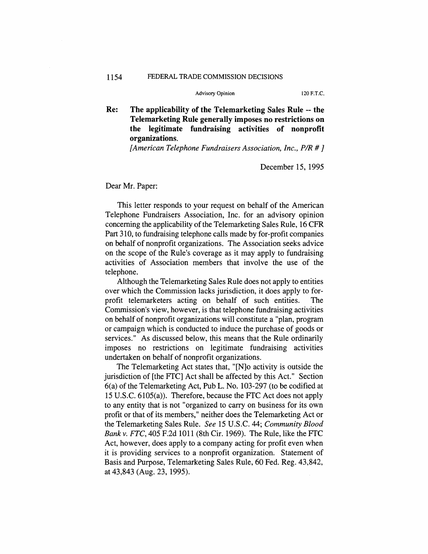## 1154 FEDERAL TRADE COMMISSION DECISIONS

## Advisory Opinion 120 F.T.C.

**Re: The applicability of the Telemarketing Sales Rule -- the Telemarketing Rule generally imposes no restrictions on the legitimate fundraising activities of nonprofit organizations.** 

*[American Telephone Fundraisers Association, Inc., PIR* #]

December 15, 1995

Dear Mr. Paper:

This letter responds to your request on behalf of the American Telephone Fundraisers Association, Inc. for an advisory opinion concerning the applicability of the Telemarketing Sales Rule, 16 CPR Part 310, to fundraising telephone calls made by for-profit companies on behalf of nonprofit organizations. The Association seeks advice on the scope of the Rule's coverage as it may apply to fundraising activities of Association members that involve the use of the telephone.

Although the Telemarketing Sales Rule does not apply to entities over which the Commission lacks jurisdiction, it does apply to forprofit telemarketers acting on behalf of such entities. The Commission's view, however, is that telephone fundraising activities on behalf of nonprofit organizations will constitute a "plan, program or campaign which is conducted to induce the purchase of goods or services." As discussed below, this means that the Rule ordinarily imposes no restrictions on legitimate fundraising activities undertaken on behalf of nonprofit organizations.

The Telemarketing Act states that, "[N]o activity is outside the jurisdiction of [the FTC] Act shall be affected by this Act." Section 6(a) of the Telemarketing Act, Pub L. No. 103-297 (to be codified at 15 U.S.C. 6105(a)). Therefore, because the FTC Act does not apply to any entity that is not "organized to carry on business for its own profit or that of its members," neither does the Telemarketing Act or the Telemarketing Sales Rule. *See* 15 U.S.C. 44; *Community Blood Bank v. FTC,* 405 F.2d 1011 (8th Cir. 1969). The Rule, like the FTC Act, however, does apply to a company acting for profit even when it is providing services to a nonprofit organization. Statement of Basis and Purpose, Telemarketing Sales Rule, 60 Fed. Reg. 43,842, at 43,843 (Aug. 23, 1995).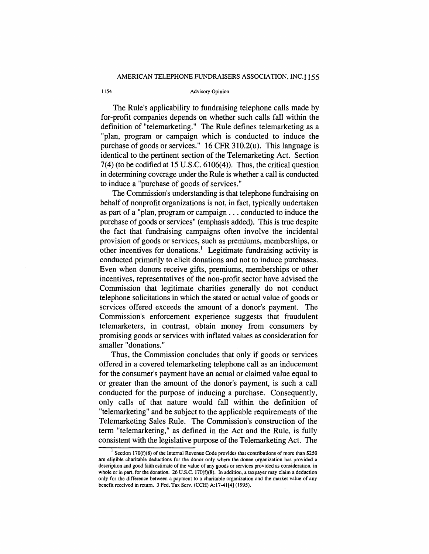## **1154 Advisory Opinion**

The Rule's applicability to fundraising telephone calls made by for-profit companies depends on whether such calls fall within the definition of "telemarketing." The Rule defines telemarketing as a "plan, program or campaign which is conducted to induce the purchase of goods or services." 16 CFR 310.2(u). This language is identical to the pertinent section of the Telemarketing Act. Section 7(4) (to be codified at 15 U.S.C. 6106(4)). Thus, the critical question in determining coverage under the Rule is whether a call is conducted to induce a "purchase of goods of services."

The Commission's understanding is that telephone fundraising on behalf of nonprofit organizations is not, in fact, typically undertaken as part of a "plan, program or campaign ... conducted to induce the purchase of goods or services" (emphasis added). This is true despite the fact that fundraising campaigns often involve the incidental provision of goods or services, such as premiums, memberships, or other incentives for donations.<sup>1</sup> Legitimate fundraising activity is conducted primarily to elicit donations and not to induce purchases. Even when donors receive gifts, premiums, memberships or other incentives, representatives of the non-profit sector have advised the Commission that legitimate charities generally do not conduct telephone solicitations in which the stated or actual value of goods or services offered exceeds the amount of a donor's payment. The Commission's enforcement experience suggests that fraudulent telemarketers, in contrast, obtain money from consumers by promising goods or services with inflated values as consideration for smaller "donations."

Thus, the Commission concludes that only if goods or services offered in a covered telemarketing telephone call as an inducement for the consumer's payment have an actual or claimed value equal to or greater than the amount of the donor's payment, is such a call conducted for the purpose of inducing a purchase. Consequently, only calls of that nature would fall within the definition of "telemarketing" and be subject to the applicable requirements of the Telemarketing Sales Rule. The Commission's construction of the term "telemarketing," as defined in the Act and the Rule, is fully consistent with the legislative purpose of the Telemarketing Act. The

Section  $170(f)(8)$  of the Internal Revenue Code provides that contributions of more than \$250 are eligible charitable deductions for the donor only where the donee organization has provided a description and good faith estimate of the value of any goods or services provided as consideration, in whole or in part, for the donation. 26 U.S.C. 170(f)(8). In addition, a taxpayer may claim a deduction only for the difference between a payment to a charitable organization and the market value of any benefit received in return. 3 Fed. Tax Serv. (CCH) A:17-41[4] (1995).